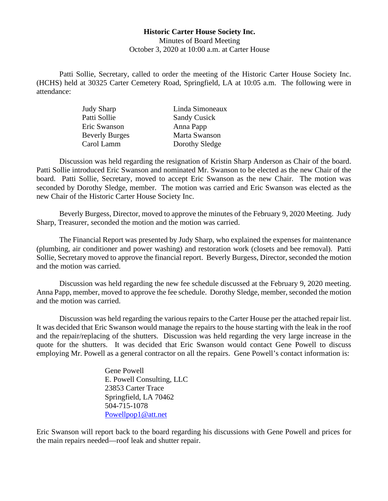## **Historic Carter House Society Inc.** Minutes of Board Meeting October 3, 2020 at 10:00 a.m. at Carter House

Patti Sollie, Secretary, called to order the meeting of the Historic Carter House Society Inc. (HCHS) held at 30325 Carter Cemetery Road, Springfield, LA at 10:05 a.m. The following were in attendance:

| <b>Judy Sharp</b>     | Linda Simoneaux     |
|-----------------------|---------------------|
| Patti Sollie          | <b>Sandy Cusick</b> |
| Eric Swanson          | Anna Papp           |
| <b>Beverly Burges</b> | Marta Swanson       |
| Carol Lamm            | Dorothy Sledge      |

Discussion was held regarding the resignation of Kristin Sharp Anderson as Chair of the board. Patti Sollie introduced Eric Swanson and nominated Mr. Swanson to be elected as the new Chair of the board. Patti Sollie, Secretary, moved to accept Eric Swanson as the new Chair. The motion was seconded by Dorothy Sledge, member. The motion was carried and Eric Swanson was elected as the new Chair of the Historic Carter House Society Inc.

Beverly Burgess, Director, moved to approve the minutes of the February 9, 2020 Meeting. Judy Sharp, Treasurer, seconded the motion and the motion was carried.

The Financial Report was presented by Judy Sharp, who explained the expenses for maintenance (plumbing, air conditioner and power washing) and restoration work (closets and bee removal). Patti Sollie, Secretary moved to approve the financial report. Beverly Burgess, Director, seconded the motion and the motion was carried.

Discussion was held regarding the new fee schedule discussed at the February 9, 2020 meeting. Anna Papp, member, moved to approve the fee schedule. Dorothy Sledge, member, seconded the motion and the motion was carried.

Discussion was held regarding the various repairs to the Carter House per the attached repair list. It was decided that Eric Swanson would manage the repairs to the house starting with the leak in the roof and the repair/replacing of the shutters. Discussion was held regarding the very large increase in the quote for the shutters. It was decided that Eric Swanson would contact Gene Powell to discuss employing Mr. Powell as a general contractor on all the repairs. Gene Powell's contact information is:

> Gene Powell E. Powell Consulting, LLC 23853 Carter Trace Springfield, LA 70462 504-715-1078 [Powellpop1@att.net](mailto:Powellpop1@att.net)

Eric Swanson will report back to the board regarding his discussions with Gene Powell and prices for the main repairs needed—roof leak and shutter repair.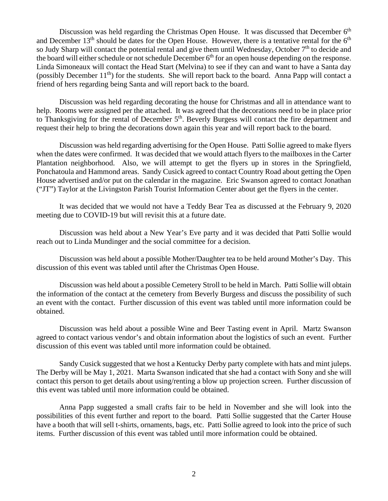Discussion was held regarding the Christmas Open House. It was discussed that December  $6<sup>th</sup>$ and December  $13<sup>th</sup>$  should be dates for the Open House. However, there is a tentative rental for the  $6<sup>th</sup>$ so Judy Sharp will contact the potential rental and give them until Wednesday, October  $7<sup>th</sup>$  to decide and the board will either schedule or not schedule December 6<sup>th</sup> for an open house depending on the response. Linda Simoneaux will contact the Head Start (Melvina) to see if they can and want to have a Santa day (possibly December 11<sup>th</sup>) for the students. She will report back to the board. Anna Papp will contact a friend of hers regarding being Santa and will report back to the board.

Discussion was held regarding decorating the house for Christmas and all in attendance want to help. Rooms were assigned per the attached. It was agreed that the decorations need to be in place prior to Thanksgiving for the rental of December 5<sup>th</sup>. Beverly Burgess will contact the fire department and request their help to bring the decorations down again this year and will report back to the board.

Discussion was held regarding advertising for the Open House. Patti Sollie agreed to make flyers when the dates were confirmed. It was decided that we would attach flyers to the mailboxes in the Carter Plantation neighborhood. Also, we will attempt to get the flyers up in stores in the Springfield, Ponchatoula and Hammond areas. Sandy Cusick agreed to contact Country Road about getting the Open House advertised and/or put on the calendar in the magazine. Eric Swanson agreed to contact Jonathan ("JT") Taylor at the Livingston Parish Tourist Information Center about get the flyers in the center.

It was decided that we would not have a Teddy Bear Tea as discussed at the February 9, 2020 meeting due to COVID-19 but will revisit this at a future date.

Discussion was held about a New Year's Eve party and it was decided that Patti Sollie would reach out to Linda Mundinger and the social committee for a decision.

Discussion was held about a possible Mother/Daughter tea to be held around Mother's Day. This discussion of this event was tabled until after the Christmas Open House.

Discussion was held about a possible Cemetery Stroll to be held in March. Patti Sollie will obtain the information of the contact at the cemetery from Beverly Burgess and discuss the possibility of such an event with the contact. Further discussion of this event was tabled until more information could be obtained.

Discussion was held about a possible Wine and Beer Tasting event in April. Martz Swanson agreed to contact various vendor's and obtain information about the logistics of such an event. Further discussion of this event was tabled until more information could be obtained.

Sandy Cusick suggested that we host a Kentucky Derby party complete with hats and mint juleps. The Derby will be May 1, 2021. Marta Swanson indicated that she had a contact with Sony and she will contact this person to get details about using/renting a blow up projection screen. Further discussion of this event was tabled until more information could be obtained.

Anna Papp suggested a small crafts fair to be held in November and she will look into the possibilities of this event further and report to the board. Patti Sollie suggested that the Carter House have a booth that will sell t-shirts, ornaments, bags, etc. Patti Sollie agreed to look into the price of such items. Further discussion of this event was tabled until more information could be obtained.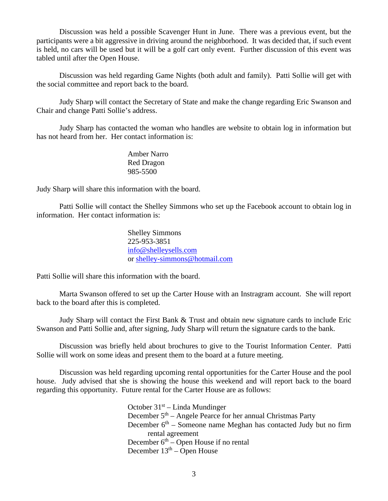Discussion was held a possible Scavenger Hunt in June. There was a previous event, but the participants were a bit aggressive in driving around the neighborhood. It was decided that, if such event is held, no cars will be used but it will be a golf cart only event. Further discussion of this event was tabled until after the Open House.

Discussion was held regarding Game Nights (both adult and family). Patti Sollie will get with the social committee and report back to the board.

Judy Sharp will contact the Secretary of State and make the change regarding Eric Swanson and Chair and change Patti Sollie's address.

Judy Sharp has contacted the woman who handles are website to obtain log in information but has not heard from her. Her contact information is:

> Amber Narro Red Dragon 985-5500

Judy Sharp will share this information with the board.

Patti Sollie will contact the Shelley Simmons who set up the Facebook account to obtain log in information. Her contact information is:

> Shelley Simmons 225-953-3851 [info@shelleysells.com](mailto:info@shelleysells.com) or [shelley-simmons@hotmail.com](mailto:shelley-simmons@hotmail.com)

Patti Sollie will share this information with the board.

Marta Swanson offered to set up the Carter House with an Instragram account. She will report back to the board after this is completed.

Judy Sharp will contact the First Bank & Trust and obtain new signature cards to include Eric Swanson and Patti Sollie and, after signing, Judy Sharp will return the signature cards to the bank.

Discussion was briefly held about brochures to give to the Tourist Information Center. Patti Sollie will work on some ideas and present them to the board at a future meeting.

Discussion was held regarding upcoming rental opportunities for the Carter House and the pool house. Judy advised that she is showing the house this weekend and will report back to the board regarding this opportunity. Future rental for the Carter House are as follows:

> October  $31^{st}$  – Linda Mundinger December  $5<sup>th</sup>$  – Angele Pearce for her annual Christmas Party December  $6<sup>th</sup>$  – Someone name Meghan has contacted Judy but no firm rental agreement December  $6<sup>th</sup>$  – Open House if no rental December  $13<sup>th</sup> -$ Open House